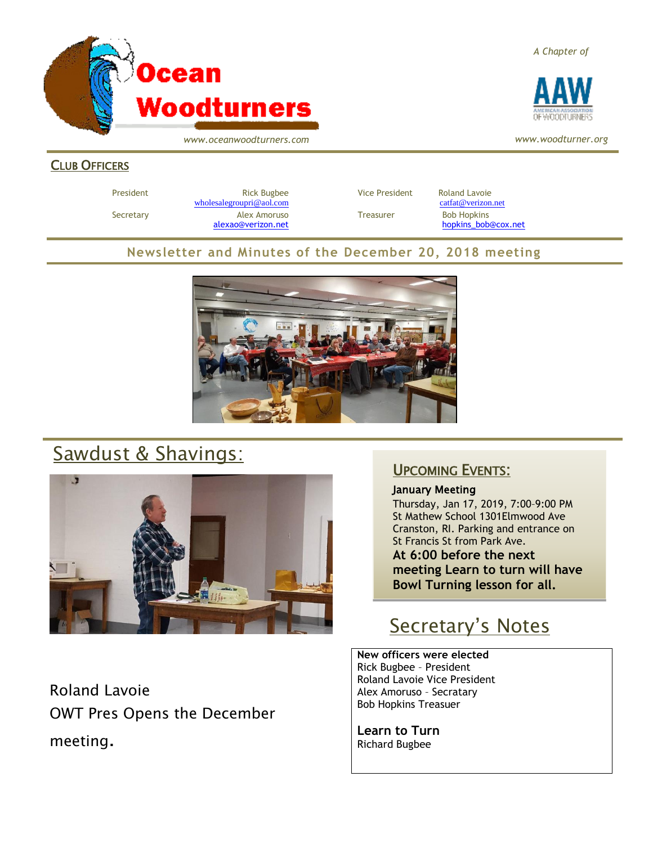

*A Chapter of*



*www.woodturner.org*

*www.oceanwoodturners.com*

#### CLUB OFFICERS

President **Rick Bugbee Rick Bugbee Vice President** Roland Lavoie [wholesalegroupri@aol.com](mailto:wholesalegroupri@aol.com) [catfat@verizon.net](mailto:catfat@verizon.net) Secretary **Alex Amoruso Treasurer** Bob Hopkins

[alexao@verizon.net](mailto:alexao@verizon.net) [hopkins\\_bob@cox.net](mailto:hopkins_bob@cox.net)

#### **Newsletter and Minutes of the December 20, 2018 meeting**



# Sawdust & Shavings:



Roland Lavoie OWT Pres Opens the December meeting.

### UPCOMING EVENTS:

January Meeting Thursday, Jan 17, 2019, 7:00–9:00 PM St Mathew School 1301Elmwood Ave Cranston, RI. Parking and entrance on St Francis St from Park Ave. **At 6:00 before the next meeting Learn to turn will have Bowl Turning lesson for all.**

### Secretary's Notes

**New officers were elected**  Rick Bugbee – President Roland Lavoie Vice President Alex Amoruso – Secratary Bob Hopkins Treasuer

**Learn to Turn** Richard Bugbee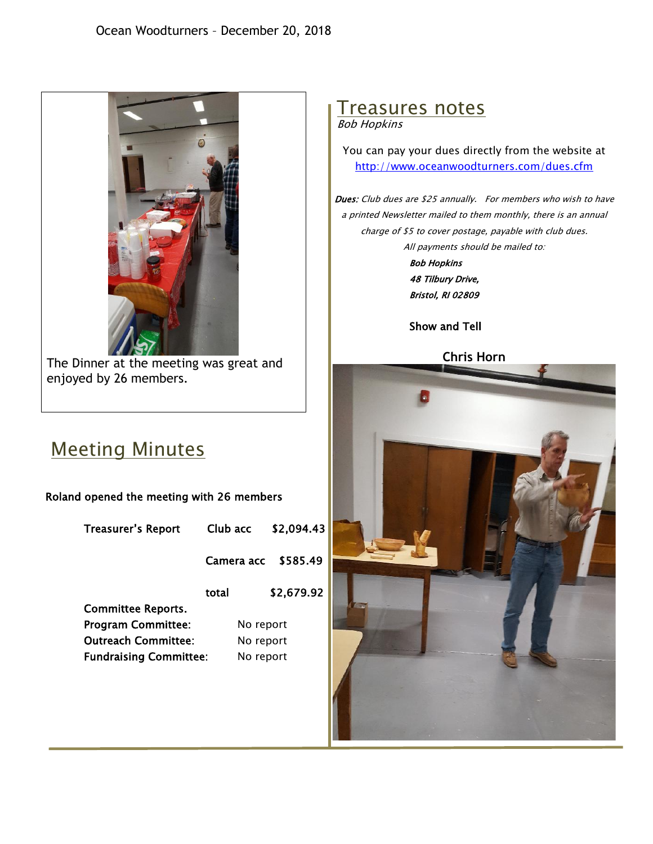

The Dinner at the meeting was great and enjoyed by 26 members.

## Meeting Minutes

Roland opened the meeting with 26 members

Treasurer's Report Club acc \$2,094.43

Camera acc \$585.49

 total \$2,679.92 Committee Reports. Program Committee: No report

Outreach Committee: No report Fundraising Committee: No report

# Treasures notes

Bob Hopkins

You can pay your dues directly from the website at <http://www.oceanwoodturners.com/dues.cfm>

Dues: Club dues are \$25 annually. For members who wish to have a printed Newsletter mailed to them monthly, there is an annual charge of \$5 to cover postage, payable with club dues. All payments should be mailed to:

> Bob Hopkins 48 Tilbury Drive, Bristol, RI 02809

#### Show and Tell